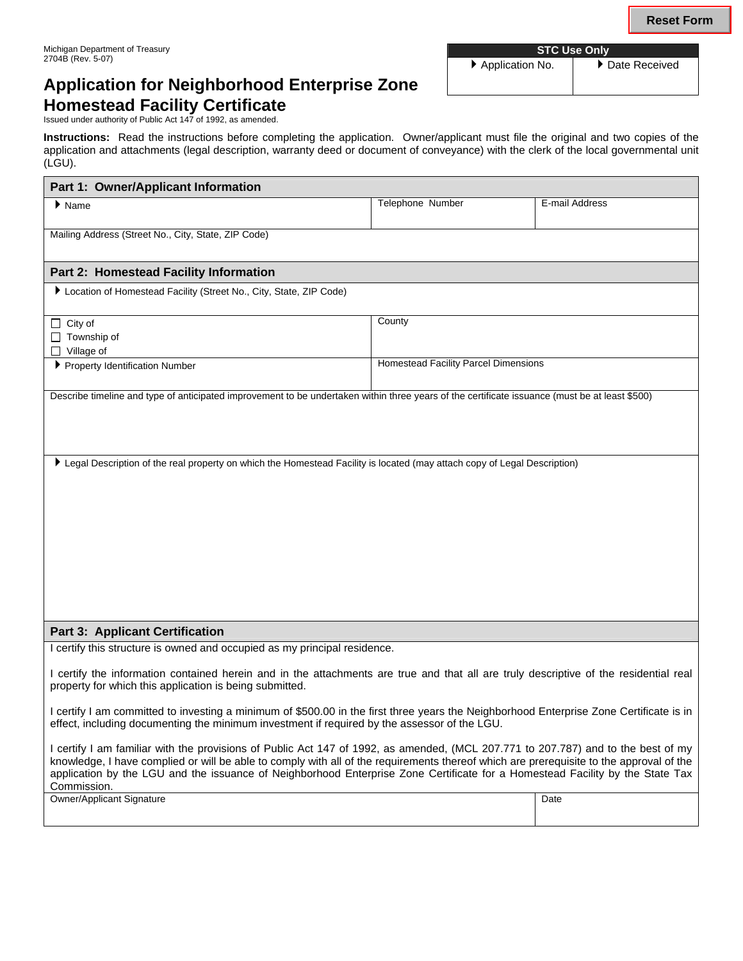▶ Application No. │ ▶ Date Received

# **Application for Neighborhood Enterprise Zone Homestead Facility Certificate**

Issued under authority of Public Act 147 of 1992, as amended.

**Instructions:** Read the instructions before completing the application. Owner/applicant must file the original and two copies of the application and attachments (legal description, warranty deed or document of conveyance) with the clerk of the local governmental unit (LGU).

| Part 1: Owner/Applicant Information                                                                                                                                                                                                                                                                                                                                                                                          |                                      |                |  |  |
|------------------------------------------------------------------------------------------------------------------------------------------------------------------------------------------------------------------------------------------------------------------------------------------------------------------------------------------------------------------------------------------------------------------------------|--------------------------------------|----------------|--|--|
| $\blacktriangleright$ Name                                                                                                                                                                                                                                                                                                                                                                                                   | Telephone Number                     | E-mail Address |  |  |
| Mailing Address (Street No., City, State, ZIP Code)                                                                                                                                                                                                                                                                                                                                                                          |                                      |                |  |  |
|                                                                                                                                                                                                                                                                                                                                                                                                                              |                                      |                |  |  |
| Part 2: Homestead Facility Information                                                                                                                                                                                                                                                                                                                                                                                       |                                      |                |  |  |
| Location of Homestead Facility (Street No., City, State, ZIP Code)                                                                                                                                                                                                                                                                                                                                                           |                                      |                |  |  |
| $\Box$ City of                                                                                                                                                                                                                                                                                                                                                                                                               | County                               |                |  |  |
| $\Box$ Township of<br>Village of<br>$\perp$                                                                                                                                                                                                                                                                                                                                                                                  |                                      |                |  |  |
| ▶ Property Identification Number                                                                                                                                                                                                                                                                                                                                                                                             | Homestead Facility Parcel Dimensions |                |  |  |
| Describe timeline and type of anticipated improvement to be undertaken within three years of the certificate issuance (must be at least \$500)                                                                                                                                                                                                                                                                               |                                      |                |  |  |
|                                                                                                                                                                                                                                                                                                                                                                                                                              |                                      |                |  |  |
|                                                                                                                                                                                                                                                                                                                                                                                                                              |                                      |                |  |  |
|                                                                                                                                                                                                                                                                                                                                                                                                                              |                                      |                |  |  |
| Legal Description of the real property on which the Homestead Facility is located (may attach copy of Legal Description)                                                                                                                                                                                                                                                                                                     |                                      |                |  |  |
|                                                                                                                                                                                                                                                                                                                                                                                                                              |                                      |                |  |  |
|                                                                                                                                                                                                                                                                                                                                                                                                                              |                                      |                |  |  |
|                                                                                                                                                                                                                                                                                                                                                                                                                              |                                      |                |  |  |
|                                                                                                                                                                                                                                                                                                                                                                                                                              |                                      |                |  |  |
|                                                                                                                                                                                                                                                                                                                                                                                                                              |                                      |                |  |  |
|                                                                                                                                                                                                                                                                                                                                                                                                                              |                                      |                |  |  |
|                                                                                                                                                                                                                                                                                                                                                                                                                              |                                      |                |  |  |
| <b>Part 3: Applicant Certification</b>                                                                                                                                                                                                                                                                                                                                                                                       |                                      |                |  |  |
| I certify this structure is owned and occupied as my principal residence.                                                                                                                                                                                                                                                                                                                                                    |                                      |                |  |  |
| I certify the information contained herein and in the attachments are true and that all are truly descriptive of the residential real<br>property for which this application is being submitted.                                                                                                                                                                                                                             |                                      |                |  |  |
| I certify I am committed to investing a minimum of \$500.00 in the first three years the Neighborhood Enterprise Zone Certificate is in<br>effect, including documenting the minimum investment if required by the assessor of the LGU.                                                                                                                                                                                      |                                      |                |  |  |
| I certify I am familiar with the provisions of Public Act 147 of 1992, as amended, (MCL 207.771 to 207.787) and to the best of my<br>knowledge, I have complied or will be able to comply with all of the requirements thereof which are prerequisite to the approval of the<br>application by the LGU and the issuance of Neighborhood Enterprise Zone Certificate for a Homestead Facility by the State Tax<br>Commission. |                                      |                |  |  |
| <b>Owner/Applicant Signature</b>                                                                                                                                                                                                                                                                                                                                                                                             |                                      | Date           |  |  |
|                                                                                                                                                                                                                                                                                                                                                                                                                              |                                      |                |  |  |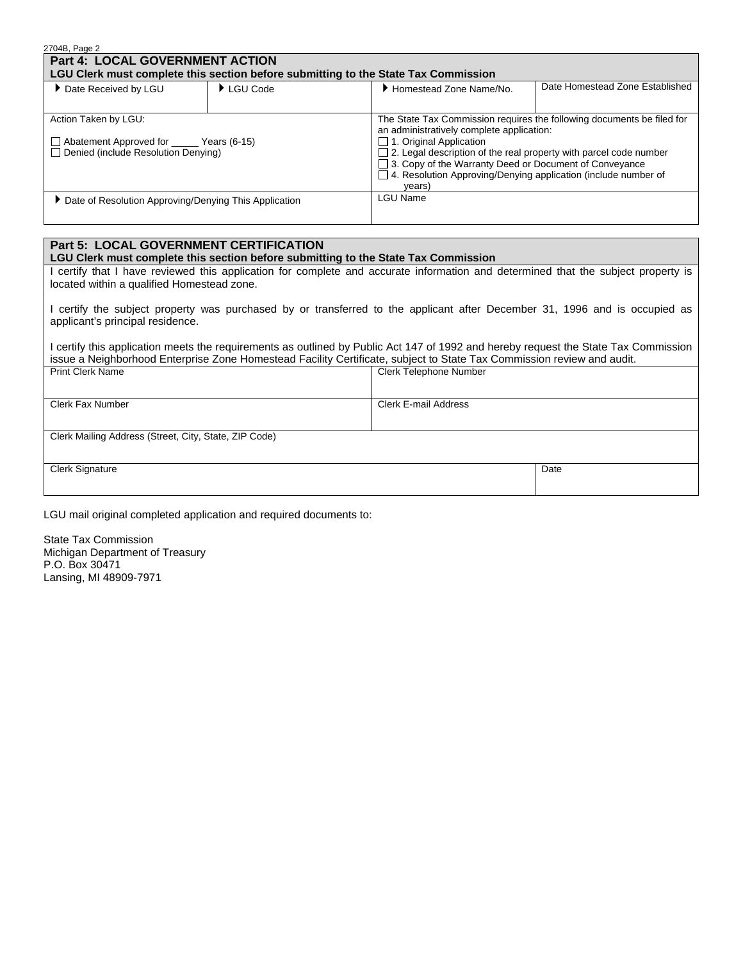| 2704B, Page 2                                                                                                     |                                |                                                                                                                                                                                                                                                                                                                                                                                  |  |  |
|-------------------------------------------------------------------------------------------------------------------|--------------------------------|----------------------------------------------------------------------------------------------------------------------------------------------------------------------------------------------------------------------------------------------------------------------------------------------------------------------------------------------------------------------------------|--|--|
| Part 4: LOCAL GOVERNMENT ACTION                                                                                   |                                |                                                                                                                                                                                                                                                                                                                                                                                  |  |  |
| LGU Clerk must complete this section before submitting to the State Tax Commission                                |                                |                                                                                                                                                                                                                                                                                                                                                                                  |  |  |
| Date Received by LGU                                                                                              | $\blacktriangleright$ LGU Code | Date Homestead Zone Established<br>Homestead Zone Name/No.                                                                                                                                                                                                                                                                                                                       |  |  |
|                                                                                                                   |                                |                                                                                                                                                                                                                                                                                                                                                                                  |  |  |
| Action Taken by LGU:<br>Abatement Approved for _______ Years (6-15)<br>$\Box$ Denied (include Resolution Denying) |                                | The State Tax Commission requires the following documents be filed for<br>an administratively complete application:<br>$\Box$ 1. Original Application<br>$\Box$ 2. Legal description of the real property with parcel code number<br>□ 3. Copy of the Warranty Deed or Document of Conveyance<br>$\Box$ 4. Resolution Approving/Denying application (include number of<br>years) |  |  |
| Date of Resolution Approving/Denying This Application                                                             |                                | LGU Name                                                                                                                                                                                                                                                                                                                                                                         |  |  |

#### **Part 5: LOCAL GOVERNMENT CERTIFICATION**

#### **LGU Clerk must complete this section before submitting to the State Tax Commission**

I certify that I have reviewed this application for complete and accurate information and determined that the subject property is located within a qualified Homestead zone.

I certify the subject property was purchased by or transferred to the applicant after December 31, 1996 and is occupied as applicant's principal residence.

I certify this application meets the requirements as outlined by Public Act 147 of 1992 and hereby request the State Tax Commission issue a Neighborhood Enterprise Zone Homestead Facility Certificate, subject to State Tax Commission review and audit. Print Clerk Name Clerk Telephone Number

Clerk E-mail Address

| <b>Clerk Fax Number</b> |
|-------------------------|
|-------------------------|

Clerk Mailing Address (Street, City, State, ZIP Code)

Clerk Signature

Date

LGU mail original completed application and required documents to:

State Tax Commission Michigan Department of Treasury P.O. Box 30471 Lansing, MI 48909-7971